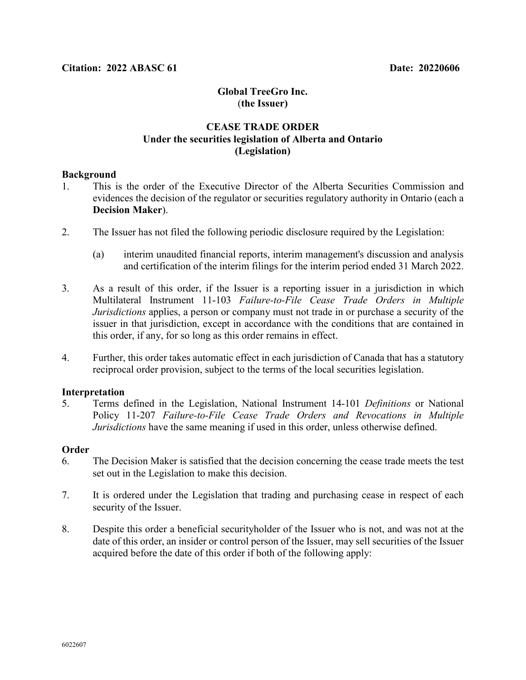# **Global TreeGro Inc.** (**the Issuer)**

# **CEASE TRADE ORDER Under the securities legislation of Alberta and Ontario (Legislation)**

## **Background**

- 1. This is the order of the Executive Director of the Alberta Securities Commission and evidences the decision of the regulator or securities regulatory authority in Ontario (each a **Decision Maker**).
- 2. The Issuer has not filed the following periodic disclosure required by the Legislation:
	- (a) interim unaudited financial reports, interim management's discussion and analysis and certification of the interim filings for the interim period ended 31 March 2022.
- 3. As a result of this order, if the Issuer is a reporting issuer in a jurisdiction in which Multilateral Instrument 11-103 *Failure-to-File Cease Trade Orders in Multiple Jurisdictions* applies, a person or company must not trade in or purchase a security of the issuer in that jurisdiction, except in accordance with the conditions that are contained in this order, if any, for so long as this order remains in effect.
- 4. Further, this order takes automatic effect in each jurisdiction of Canada that has a statutory reciprocal order provision, subject to the terms of the local securities legislation.

## **Interpretation**

5. Terms defined in the Legislation, National Instrument 14-101 *Definitions* or National Policy 11-207 *Failure-to-File Cease Trade Orders and Revocations in Multiple Jurisdictions* have the same meaning if used in this order, unless otherwise defined.

## **Order**

- 6. The Decision Maker is satisfied that the decision concerning the cease trade meets the test set out in the Legislation to make this decision.
- 7. It is ordered under the Legislation that trading and purchasing cease in respect of each security of the Issuer.
- 8. Despite this order a beneficial securityholder of the Issuer who is not, and was not at the date of this order, an insider or control person of the Issuer, may sell securities of the Issuer acquired before the date of this order if both of the following apply: